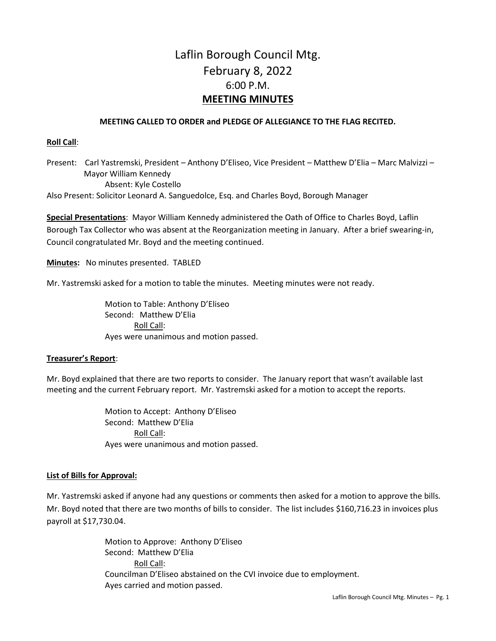# Laflin Borough Council Mtg. February 8, 2022 6:00 P.M. **MEETING MINUTES**

#### **MEETING CALLED TO ORDER and PLEDGE OF ALLEGIANCE TO THE FLAG RECITED.**

#### **Roll Call**:

Present: Carl Yastremski, President – Anthony D'Eliseo, Vice President – Matthew D'Elia – Marc Malvizzi – Mayor William Kennedy Absent: Kyle Costello Also Present: Solicitor Leonard A. Sanguedolce, Esq. and Charles Boyd, Borough Manager

**Special Presentations**: Mayor William Kennedy administered the Oath of Office to Charles Boyd, Laflin Borough Tax Collector who was absent at the Reorganization meeting in January. After a brief swearing-in, Council congratulated Mr. Boyd and the meeting continued.

**Minutes:** No minutes presented. TABLED

Mr. Yastremski asked for a motion to table the minutes. Meeting minutes were not ready.

Motion to Table: Anthony D'Eliseo Second: Matthew D'Elia Roll Call: Ayes were unanimous and motion passed.

#### **Treasurer's Report**:

Mr. Boyd explained that there are two reports to consider. The January report that wasn't available last meeting and the current February report. Mr. Yastremski asked for a motion to accept the reports.

> Motion to Accept: Anthony D'Eliseo Second: Matthew D'Elia Roll Call: Ayes were unanimous and motion passed.

#### **List of Bills for Approval:**

Mr. Yastremski asked if anyone had any questions or comments then asked for a motion to approve the bills. Mr. Boyd noted that there are two months of bills to consider. The list includes \$160,716.23 in invoices plus payroll at \$17,730.04.

> Motion to Approve: Anthony D'Eliseo Second: Matthew D'Elia Roll Call: Councilman D'Eliseo abstained on the CVI invoice due to employment. Ayes carried and motion passed.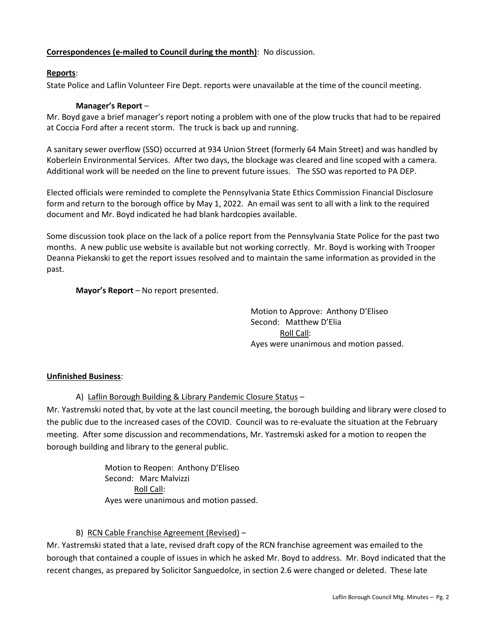## **Correspondences (e-mailed to Council during the month)**: No discussion.

### **Reports**:

State Police and Laflin Volunteer Fire Dept. reports were unavailable at the time of the council meeting.

## **Manager's Report** –

Mr. Boyd gave a brief manager's report noting a problem with one of the plow trucks that had to be repaired at Coccia Ford after a recent storm. The truck is back up and running.

A sanitary sewer overflow (SSO) occurred at 934 Union Street (formerly 64 Main Street) and was handled by Koberlein Environmental Services. After two days, the blockage was cleared and line scoped with a camera. Additional work will be needed on the line to prevent future issues. The SSO was reported to PA DEP.

Elected officials were reminded to complete the Pennsylvania State Ethics Commission Financial Disclosure form and return to the borough office by May 1, 2022. An email was sent to all with a link to the required document and Mr. Boyd indicated he had blank hardcopies available.

Some discussion took place on the lack of a police report from the Pennsylvania State Police for the past two months. A new public use website is available but not working correctly. Mr. Boyd is working with Trooper Deanna Piekanski to get the report issues resolved and to maintain the same information as provided in the past.

## **Mayor's Report** – No report presented.

Motion to Approve: Anthony D'Eliseo Second: Matthew D'Elia Roll Call: Ayes were unanimous and motion passed.

### **Unfinished Business**:

A) Laflin Borough Building & Library Pandemic Closure Status –

Mr. Yastremski noted that, by vote at the last council meeting, the borough building and library were closed to the public due to the increased cases of the COVID. Council was to re-evaluate the situation at the February meeting. After some discussion and recommendations, Mr. Yastremski asked for a motion to reopen the borough building and library to the general public.

> Motion to Reopen: Anthony D'Eliseo Second: Marc Malvizzi Roll Call: Ayes were unanimous and motion passed.

## B) RCN Cable Franchise Agreement (Revised) -

Mr. Yastremski stated that a late, revised draft copy of the RCN franchise agreement was emailed to the borough that contained a couple of issues in which he asked Mr. Boyd to address. Mr. Boyd indicated that the recent changes, as prepared by Solicitor Sanguedolce, in section 2.6 were changed or deleted. These late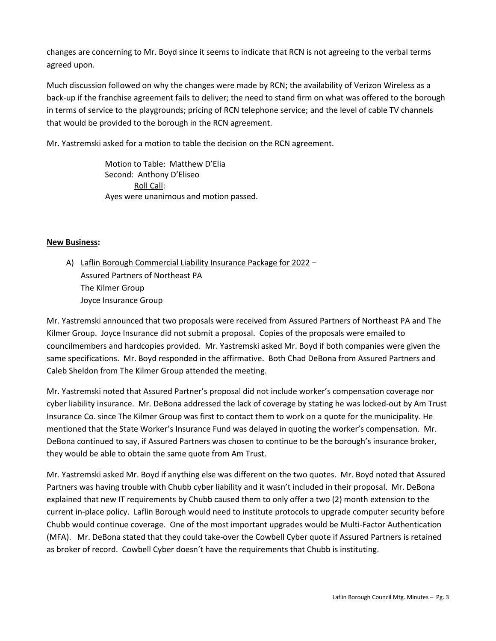changes are concerning to Mr. Boyd since it seems to indicate that RCN is not agreeing to the verbal terms agreed upon.

Much discussion followed on why the changes were made by RCN; the availability of Verizon Wireless as a back-up if the franchise agreement fails to deliver; the need to stand firm on what was offered to the borough in terms of service to the playgrounds; pricing of RCN telephone service; and the level of cable TV channels that would be provided to the borough in the RCN agreement.

Mr. Yastremski asked for a motion to table the decision on the RCN agreement.

Motion to Table: Matthew D'Elia Second: Anthony D'Eliseo Roll Call: Ayes were unanimous and motion passed.

## **New Business:**

A) Laflin Borough Commercial Liability Insurance Package for 2022 – Assured Partners of Northeast PA The Kilmer Group Joyce Insurance Group

Mr. Yastremski announced that two proposals were received from Assured Partners of Northeast PA and The Kilmer Group. Joyce Insurance did not submit a proposal. Copies of the proposals were emailed to councilmembers and hardcopies provided. Mr. Yastremski asked Mr. Boyd if both companies were given the same specifications. Mr. Boyd responded in the affirmative. Both Chad DeBona from Assured Partners and Caleb Sheldon from The Kilmer Group attended the meeting.

Mr. Yastremski noted that Assured Partner's proposal did not include worker's compensation coverage nor cyber liability insurance. Mr. DeBona addressed the lack of coverage by stating he was locked-out by Am Trust Insurance Co. since The Kilmer Group was first to contact them to work on a quote for the municipality. He mentioned that the State Worker's Insurance Fund was delayed in quoting the worker's compensation. Mr. DeBona continued to say, if Assured Partners was chosen to continue to be the borough's insurance broker, they would be able to obtain the same quote from Am Trust.

Mr. Yastremski asked Mr. Boyd if anything else was different on the two quotes. Mr. Boyd noted that Assured Partners was having trouble with Chubb cyber liability and it wasn't included in their proposal. Mr. DeBona explained that new IT requirements by Chubb caused them to only offer a two (2) month extension to the current in-place policy. Laflin Borough would need to institute protocols to upgrade computer security before Chubb would continue coverage. One of the most important upgrades would be Multi-Factor Authentication (MFA). Mr. DeBona stated that they could take-over the Cowbell Cyber quote if Assured Partners is retained as broker of record. Cowbell Cyber doesn't have the requirements that Chubb is instituting.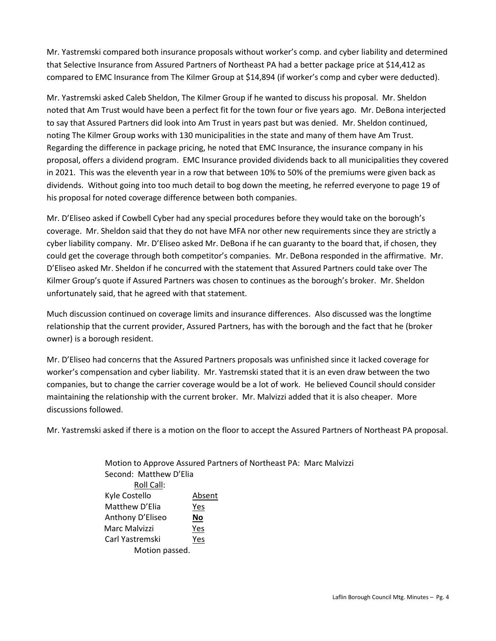Mr. Yastremski compared both insurance proposals without worker's comp. and cyber liability and determined that Selective Insurance from Assured Partners of Northeast PA had a better package price at \$14,412 as compared to EMC Insurance from The Kilmer Group at \$14,894 (if worker's comp and cyber were deducted).

Mr. Yastremski asked Caleb Sheldon, The Kilmer Group if he wanted to discuss his proposal. Mr. Sheldon noted that Am Trust would have been a perfect fit for the town four or five years ago. Mr. DeBona interjected to say that Assured Partners did look into Am Trust in years past but was denied. Mr. Sheldon continued, noting The Kilmer Group works with 130 municipalities in the state and many of them have Am Trust. Regarding the difference in package pricing, he noted that EMC Insurance, the insurance company in his proposal, offers a dividend program. EMC Insurance provided dividends back to all municipalities they covered in 2021. This was the eleventh year in a row that between 10% to 50% of the premiums were given back as dividends. Without going into too much detail to bog down the meeting, he referred everyone to page 19 of his proposal for noted coverage difference between both companies.

Mr. D'Eliseo asked if Cowbell Cyber had any special procedures before they would take on the borough's coverage. Mr. Sheldon said that they do not have MFA nor other new requirements since they are strictly a cyber liability company. Mr. D'Eliseo asked Mr. DeBona if he can guaranty to the board that, if chosen, they could get the coverage through both competitor's companies. Mr. DeBona responded in the affirmative. Mr. D'Eliseo asked Mr. Sheldon if he concurred with the statement that Assured Partners could take over The Kilmer Group's quote if Assured Partners was chosen to continues as the borough's broker. Mr. Sheldon unfortunately said, that he agreed with that statement.

Much discussion continued on coverage limits and insurance differences. Also discussed was the longtime relationship that the current provider, Assured Partners, has with the borough and the fact that he (broker owner) is a borough resident.

Mr. D'Eliseo had concerns that the Assured Partners proposals was unfinished since it lacked coverage for worker's compensation and cyber liability. Mr. Yastremski stated that it is an even draw between the two companies, but to change the carrier coverage would be a lot of work. He believed Council should consider maintaining the relationship with the current broker. Mr. Malvizzi added that it is also cheaper. More discussions followed.

Mr. Yastremski asked if there is a motion on the floor to accept the Assured Partners of Northeast PA proposal.

Motion to Approve Assured Partners of Northeast PA: Marc Malvizzi Second: Matthew D'Elia Roll Call: Kyle Costello Absent Matthew D'Elia Yes Anthony D'Eliseo **No** Marc Malvizzi Yes Carl Yastremski Yes Motion passed.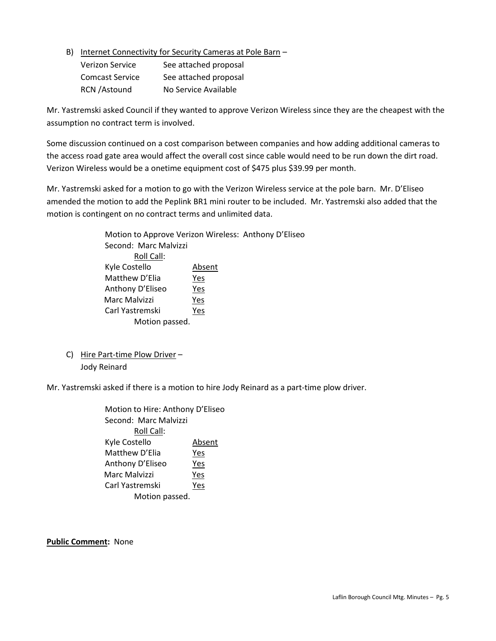B) Internet Connectivity for Security Cameras at Pole Barn -

| <b>Verizon Service</b> | See attached proposal |
|------------------------|-----------------------|
| <b>Comcast Service</b> | See attached proposal |
| RCN / Astound          | No Service Available  |

Mr. Yastremski asked Council if they wanted to approve Verizon Wireless since they are the cheapest with the assumption no contract term is involved.

Some discussion continued on a cost comparison between companies and how adding additional cameras to the access road gate area would affect the overall cost since cable would need to be run down the dirt road. Verizon Wireless would be a onetime equipment cost of \$475 plus \$39.99 per month.

Mr. Yastremski asked for a motion to go with the Verizon Wireless service at the pole barn. Mr. D'Eliseo amended the motion to add the Peplink BR1 mini router to be included. Mr. Yastremski also added that the motion is contingent on no contract terms and unlimited data.

> Motion to Approve Verizon Wireless: Anthony D'Eliseo Second: Marc Malvizzi Roll Call: Kyle Costello Absent Matthew D'Elia Yes Anthony D'Eliseo Yes Marc Malvizzi Yes Carl Yastremski Yes Motion passed.

C) Hire Part-time Plow Driver – Jody Reinard

Mr. Yastremski asked if there is a motion to hire Jody Reinard as a part-time plow driver.

Motion to Hire: Anthony D'Eliseo Second: Marc Malvizzi Roll Call: Kyle Costello Absent Matthew D'Elia Yes Anthony D'Eliseo Yes Marc Malvizzi Yes Carl Yastremski Yes Motion passed.

### **Public Comment:** None